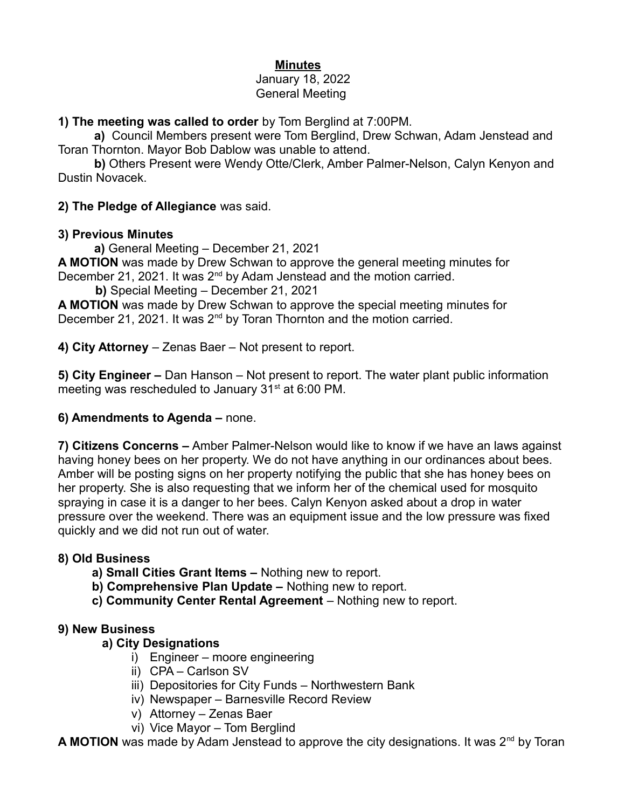## **Minutes**

#### January 18, 2022 General Meeting

## **1) The meeting was called to order** by Tom Berglind at 7:00PM.

**a)** Council Members present were Tom Berglind, Drew Schwan, Adam Jenstead and Toran Thornton. Mayor Bob Dablow was unable to attend.

**b)** Others Present were Wendy Otte/Clerk, Amber Palmer-Nelson, Calyn Kenyon and Dustin Novacek.

**2) The Pledge of Allegiance** was said.

## **3) Previous Minutes**

**a)** General Meeting – December 21, 2021

**A MOTION** was made by Drew Schwan to approve the general meeting minutes for December 21, 2021. It was 2<sup>nd</sup> by Adam Jenstead and the motion carried.

 **b)** Special Meeting – December 21, 2021

**A MOTION** was made by Drew Schwan to approve the special meeting minutes for December 21, 2021. It was 2<sup>nd</sup> by Toran Thornton and the motion carried.

**4) City Attorney** – Zenas Baer – Not present to report.

**5) City Engineer –** Dan Hanson – Not present to report. The water plant public information meeting was rescheduled to January  $31<sup>st</sup>$  at 6:00 PM.

# **6) Amendments to Agenda –** none.

**7) Citizens Concerns –** Amber Palmer-Nelson would like to know if we have an laws against having honey bees on her property. We do not have anything in our ordinances about bees. Amber will be posting signs on her property notifying the public that she has honey bees on her property. She is also requesting that we inform her of the chemical used for mosquito spraying in case it is a danger to her bees. Calyn Kenyon asked about a drop in water pressure over the weekend. There was an equipment issue and the low pressure was fixed quickly and we did not run out of water.

# **8) Old Business**

- **a) Small Cities Grant Items** Nothing new to report.
- **b) Comprehensive Plan Update –** Nothing new to report.
- **c) Community Center Rental Agreement** Nothing new to report.

# **9) New Business**

# **a) City Designations**

- i) Engineer moore engineering
- ii) CPA Carlson SV
- iii) Depositories for City Funds Northwestern Bank
- iv) Newspaper Barnesville Record Review
- v) Attorney Zenas Baer
- vi) Vice Mayor Tom Berglind

**A MOTION** was made by Adam Jenstead to approve the city designations. It was 2<sup>nd</sup> by Toran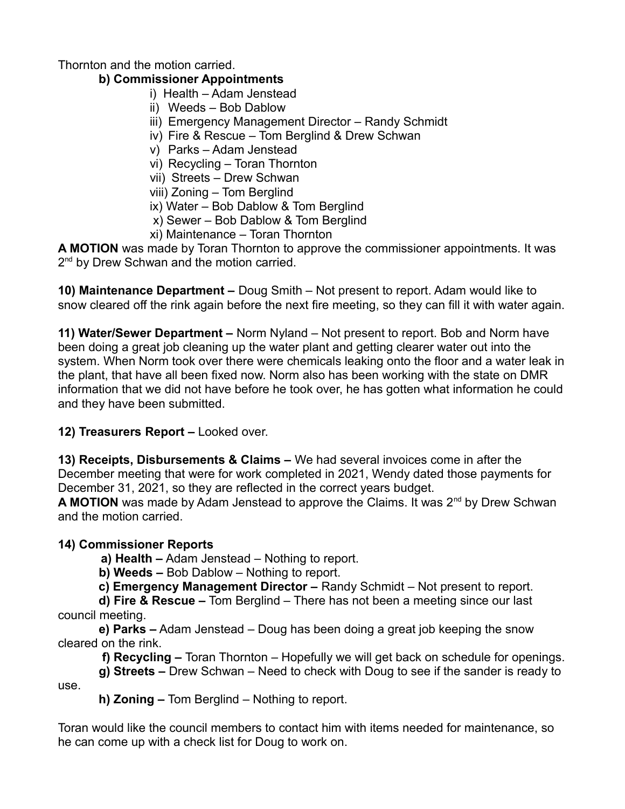Thornton and the motion carried.

### **b) Commissioner Appointments**

- i) Health Adam Jenstead
- ii) Weeds Bob Dablow
- iii) Emergency Management Director Randy Schmidt
- iv) Fire & Rescue Tom Berglind & Drew Schwan
- v) Parks Adam Jenstead
- vi) Recycling Toran Thornton
- vii) Streets Drew Schwan
- viii) Zoning Tom Berglind
- ix) Water Bob Dablow & Tom Berglind
- x) Sewer Bob Dablow & Tom Berglind
- xi) Maintenance Toran Thornton

**A MOTION** was made by Toran Thornton to approve the commissioner appointments. It was 2 nd by Drew Schwan and the motion carried.

**10) Maintenance Department –** Doug Smith – Not present to report. Adam would like to snow cleared off the rink again before the next fire meeting, so they can fill it with water again.

**11) Water/Sewer Department –** Norm Nyland – Not present to report. Bob and Norm have been doing a great job cleaning up the water plant and getting clearer water out into the system. When Norm took over there were chemicals leaking onto the floor and a water leak in the plant, that have all been fixed now. Norm also has been working with the state on DMR information that we did not have before he took over, he has gotten what information he could and they have been submitted.

### **12) Treasurers Report –** Looked over.

**13) Receipts, Disbursements & Claims –** We had several invoices come in after the December meeting that were for work completed in 2021, Wendy dated those payments for December 31, 2021, so they are reflected in the correct years budget.

A MOTION was made by Adam Jenstead to approve the Claims. It was 2<sup>nd</sup> by Drew Schwan and the motion carried.

### **14) Commissioner Reports**

**a) Health –** Adam Jenstead – Nothing to report.

**b) Weeds –** Bob Dablow – Nothing to report.

 **c) Emergency Management Director –** Randy Schmidt – Not present to report.

 **d) Fire & Rescue –** Tom Berglind – There has not been a meeting since our last council meeting.

 **e) Parks –** Adam Jenstead – Doug has been doing a great job keeping the snow cleared on the rink.

**f) Recycling –** Toran Thornton – Hopefully we will get back on schedule for openings.

 **g) Streets –** Drew Schwan – Need to check with Doug to see if the sander is ready to use.

 **h) Zoning –** Tom Berglind – Nothing to report.

Toran would like the council members to contact him with items needed for maintenance, so he can come up with a check list for Doug to work on.